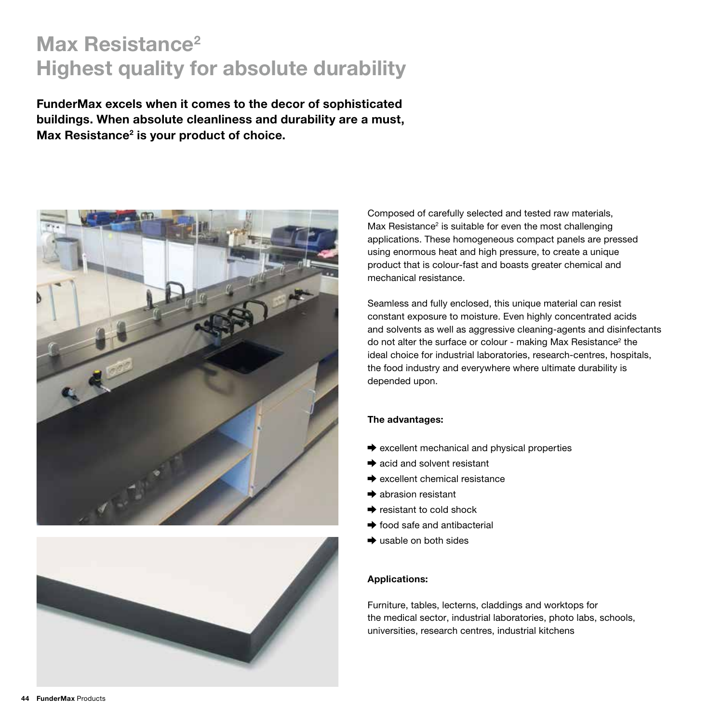# Max Resistance<sup>2</sup> Highest quality for absolute durability

FunderMax excels when it comes to the decor of sophisticated buildings. When absolute cleanliness and durability are a must, Max Resistance<sup>2</sup> is your product of choice.





Composed of carefully selected and tested raw materials, Max Resistance<sup>2</sup> is suitable for even the most challenging applications. These homogeneous compact panels are pressed using enormous heat and high pressure, to create a unique product that is colour-fast and boasts greater chemical and mechanical resistance.

Seamless and fully enclosed, this unique material can resist constant exposure to moisture. Even highly concentrated acids and solvents as well as aggressive cleaning-agents and disinfectants do not alter the surface or colour - making Max Resistance<sup>2</sup> the ideal choice for industrial laboratories, research-centres, hospitals, the food industry and everywhere where ultimate durability is depended upon.

# The advantages:

- $\rightarrow$  excellent mechanical and physical properties
- $\rightarrow$  acid and solvent resistant
- $\rightarrow$  excellent chemical resistance
- **→** abrasion resistant
- $\rightarrow$  resistant to cold shock
- $\rightarrow$  food safe and antibacterial
- $\rightarrow$  usable on both sides

# Applications:

Furniture, tables, lecterns, claddings and worktops for the medical sector, industrial laboratories, photo labs, schools, universities, research centres, industrial kitchens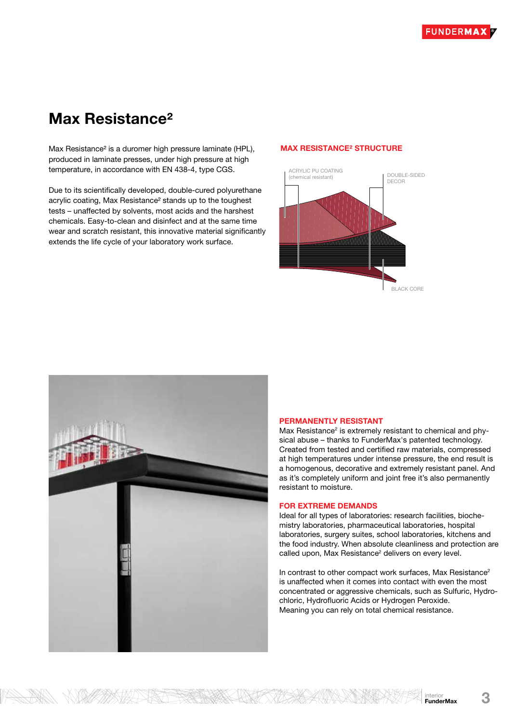# Max Resistance²

Max Resistance² is a duromer high pressure laminate (HPL), produced in laminate presses, under high pressure at high temperature, in accordance with EN 438-4, type CGS.

Due to its scientifically developed, double-cured polyurethane acrylic coating, Max Resistance² stands up to the toughest tests – unaffected by solvents, most acids and the harshest chemicals. Easy-to-clean and disinfect and at the same time wear and scratch resistant, this innovative material significantly extends the life cycle of your laboratory work surface.

### MAX RESISTANCE² STRUCTURE





NISHE TITAK FIRIL

### PERMANENTLY RESISTANT

Max Resistance<sup>2</sup> is extremely resistant to chemical and physical abuse – thanks to FunderMax's patented technology. Created from tested and certified raw materials, compressed at high temperatures under intense pressure, the end result is a homogenous, decorative and extremely resistant panel. And as it's completely uniform and joint free it's also permanently resistant to moisture.

### FOR EXTREME DEMANDS

Ideal for all types of laboratories: research facilities, biochemistry laboratories, pharmaceutical laboratories, hospital laboratories, surgery suites, school laboratories, kitchens and the food industry. When absolute cleanliness and protection are called upon, Max Resistance<sup>2</sup> delivers on every level.

In contrast to other compact work surfaces, Max Resistance<sup>2</sup> is unaffected when it comes into contact with even the most concentrated or aggressive chemicals, such as Sulfuric, Hydrochloric, Hydrofluoric Acids or Hydrogen Peroxide. Meaning you can rely on total chemical resistance.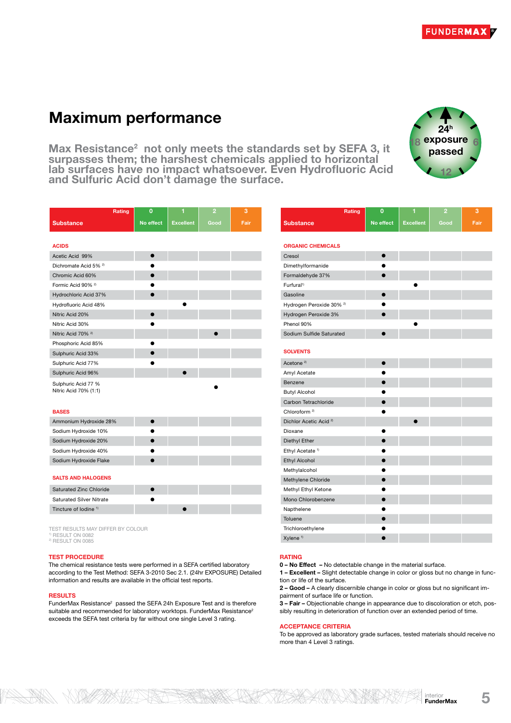**FUNDERMA** 

# Maximum performance

Max Resistance<sup>2</sup> not only meets the standards set by SEFA 3, it surpasses them; the harshest chemicals applied to horizontal lab surfaces have no impact whatsoever. Even Hydrofluoric Acid and Sulfuric Acid don't damage the surface.



|                                              | Rating | $\bf{0}$  | 1                | $\overline{2}$ | 3    |
|----------------------------------------------|--------|-----------|------------------|----------------|------|
| <b>Substance</b>                             |        | No effect | <b>Excellent</b> | Good           | Fair |
|                                              |        |           |                  |                |      |
| <b>ACIDS</b>                                 |        |           |                  |                |      |
| Acetic Acid 99%                              |        |           |                  |                |      |
| Dichromate Acid 5% <sup>2)</sup>             |        |           |                  |                |      |
| Chromic Acid 60%                             |        |           |                  |                |      |
| Formic Acid 90% <sup>2)</sup>                |        |           |                  |                |      |
| Hydrochloric Acid 37%                        |        |           |                  |                |      |
| Hydrofluoric Acid 48%                        |        |           |                  |                |      |
| Nitric Acid 20%                              |        |           |                  |                |      |
| Nitric Acid 30%                              |        |           |                  |                |      |
| Nitric Acid 70% <sup>2)</sup>                |        |           |                  |                |      |
| Phosphoric Acid 85%                          |        |           |                  |                |      |
| Sulphuric Acid 33%                           |        |           |                  |                |      |
| Sulphuric Acid 77%                           |        |           |                  |                |      |
| Sulphuric Acid 96%                           |        |           |                  |                |      |
| Sulphuric Acid 77 %<br>Nitric Acid 70% (1:1) |        |           |                  |                |      |

#### BASES

| Ammonium Hydroxide 28% |  |  |
|------------------------|--|--|
| Sodium Hydroxide 10%   |  |  |
| Sodium Hydroxide 20%   |  |  |
| Sodium Hydroxide 40%   |  |  |
| Sodium Hydroxide Flake |  |  |

#### SALTS AND HALOGENS

| Saturated Zinc Chloride          |  |  |
|----------------------------------|--|--|
| <b>Saturated Silver Nitrate</b>  |  |  |
| Tincture of Iodine <sup>1)</sup> |  |  |

TEST RESULTS MAY DIFFER BY COLOUR <sup>1)</sup> RESULT ON 0082<br><sup>2)</sup> RESULT ON 0085

#### TEST PROCEDURE

The chemical resistance tests were performed in a SEFA certified laboratory according to the Test Method: SEFA 3-2010 Sec 2.1. (24hr EXPOSURE) Detailed information and results are available in the official test reports.

#### **RESULTS**

FunderMax Resistance<sup>2</sup> passed the SEFA 24h Exposure Test and is therefore suitable and recommended for laboratory worktops. FunderMax Resistance<sup>2</sup> exceeds the SEFA test criteria by far without one single Level 3 rating.

| Rating                              | $\mathbf 0$ | 1                | $\overline{2}$ | 3    |
|-------------------------------------|-------------|------------------|----------------|------|
| <b>Substance</b>                    | No effect   | <b>Excellent</b> | Good           | Fair |
|                                     |             |                  |                |      |
| <b>ORGANIC CHEMICALS</b>            |             |                  |                |      |
| Cresol                              | Ď           |                  |                |      |
| Dimethylformanide                   |             |                  |                |      |
| Formaldehyde 37%                    | $\bullet$   |                  |                |      |
| Furfural <sup>1)</sup>              |             |                  |                |      |
| Gasoline                            | $\bullet$   |                  |                |      |
| Hydrogen Peroxide 30% <sup>2)</sup> |             |                  |                |      |
| Hydrogen Peroxide 3%                |             |                  |                |      |
| Phenol 90%                          |             |                  |                |      |
| Sodium Sulfide Saturated            | $\bullet$   |                  |                |      |
|                                     |             |                  |                |      |
| <b>SOLVENTS</b>                     |             |                  |                |      |
| Acetone <sup>2)</sup>               | $\bullet$   |                  |                |      |
| Amyl Acetate                        |             |                  |                |      |
| Benzene                             |             |                  |                |      |
| <b>Butyl Alcohol</b>                |             |                  |                |      |
| Carbon Tetrachloride                | $\bullet$   |                  |                |      |
| Chloroform <sup>2)</sup>            |             |                  |                |      |
| Dichlor Acetic Acid <sup>2)</sup>   |             |                  |                |      |
| Dioxane                             | ●           |                  |                |      |
| Diethyl Ether                       |             |                  |                |      |
| Ethyl Acetate <sup>1)</sup>         |             |                  |                |      |
| <b>Ethyl Alcohol</b>                | $\bullet$   |                  |                |      |
| Methylalcohol                       |             |                  |                |      |
| Methylene Chloride                  | $\bullet$   |                  |                |      |
| Methyl Ethyl Ketone                 |             |                  |                |      |
| Mono Chlorobenzene                  | $\bullet$   |                  |                |      |
| Napthelene                          |             |                  |                |      |
| Toluene                             |             |                  |                |      |
| Trichloroethylene                   |             |                  |                |      |
| Xylene <sup>1)</sup>                | $\bullet$   |                  |                |      |

#### RATING

0 – No Effect – No detectable change in the material surface.

1 – Excellent – Slight detectable change in color or gloss but no change in function or life of the surface.

2 – Good – A clearly discernible change in color or gloss but no significant impairment of surface life or function.

3 – Fair – Objectionable change in appearance due to discoloration or etch, possibly resulting in deterioration of function over an extended period of time.

#### ACCEPTANCE CRITERIA

To be approved as laboratory grade surfaces, tested materials should receive no more than 4 Level 3 ratings.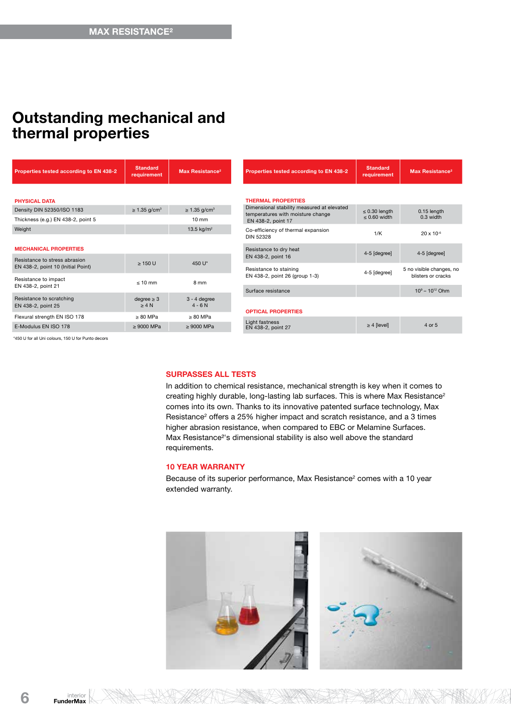# Outstanding mechanical and thermal properties

| Properties tested according to EN 438-2                                                                                                                   | <b>Standard</b><br>requirement | Max Resistance <sup>2</sup>   |  |
|-----------------------------------------------------------------------------------------------------------------------------------------------------------|--------------------------------|-------------------------------|--|
|                                                                                                                                                           |                                |                               |  |
| <b>PHYSICAL DATA</b><br>Density DIN 52350/ISO 1183                                                                                                        | $\geq$ 1.35 g/cm <sup>3</sup>  | $\geq$ 1.35 g/cm <sup>3</sup> |  |
| Thickness (e.g.) EN 438-2, point 5                                                                                                                        |                                | $10 \text{ mm}$               |  |
| Weight                                                                                                                                                    |                                | 13.5 $kg/m2$                  |  |
|                                                                                                                                                           |                                |                               |  |
| <b>MECHANICAL PROPERTIES</b>                                                                                                                              |                                |                               |  |
| Resistance to stress abrasion<br>EN 438-2, point 10 (Initial Point)                                                                                       | $\geq 150$ U                   | 450 U*                        |  |
| Resistance to impact                                                                                                                                      | $< 10$ mm                      | 8 mm                          |  |
| EN 438-2, point 21                                                                                                                                        |                                |                               |  |
| Resistance to scratching<br>EN 438-2, point 25                                                                                                            | $degree \geq 3$<br>$\geq 4 N$  | $3 - 4$ degree<br>$4 - 6 N$   |  |
| Flexural strength EN ISO 178                                                                                                                              | $\geq 80$ MPa                  | $\geq 80$ MPa                 |  |
| E-Modulus EN ISO 178                                                                                                                                      | $\geq 9000$ MPa                | $\geq 9000$ MPa               |  |
| $\mathbf{z}$ and $\mathbf{z}$ are the state of $\mathbf{z}$ and $\mathbf{z}$ are the state of $\mathbf{z}$ and $\mathbf{z}$ are the state of $\mathbf{z}$ |                                |                               |  |

for all Uni colours, 150 U for Punto d

### SURPASSES ALL TESTS

In addition to chemical resistance, mechanical strength is key when it comes to creating highly durable, long-lasting lab surfaces. This is where Max Resistance<sup>2</sup> comes into its own. Thanks to its innovative patented surface technology, Max Resistance<sup>2</sup> offers a 25% higher impact and scratch resistance, and a 3 times higher abrasion resistance, when compared to EBC or Melamine Surfaces. Max Resistance²'s dimensional stability is also well above the standard requirements.

# 10 YEAR WARRANTY

Because of its superior performance, Max Resistance<sup>2</sup> comes with a 10 year extended warranty.

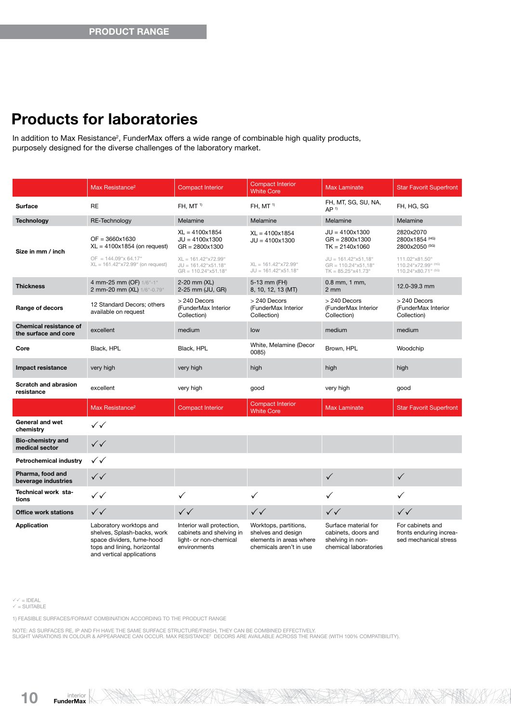# Products for laboratories

In addition to Max Resistance<sup>2</sup>, FunderMax offers a wide range of combinable high quality products, purposely designed for the diverse challenges of the laboratory market.

|                                                       | Max Resistance <sup>2</sup>                                                                                                                     | <b>Compact Interior</b>                                                                         | <b>Compact Interior</b><br><b>White Core</b>                                                      | <b>Max Laminate</b>                                                                      | <b>Star Favorit Superfront</b>                                       |
|-------------------------------------------------------|-------------------------------------------------------------------------------------------------------------------------------------------------|-------------------------------------------------------------------------------------------------|---------------------------------------------------------------------------------------------------|------------------------------------------------------------------------------------------|----------------------------------------------------------------------|
| Surface                                               | <b>RE</b>                                                                                                                                       | FH, MT <sup>1)</sup>                                                                            | FH, $MT1$                                                                                         | FH, MT, SG, SU, NA,<br>AP <sup>1</sup>                                                   | FH, HG, SG                                                           |
| <b>Technology</b>                                     | RE-Technology                                                                                                                                   | Melamine                                                                                        | Melamine                                                                                          | Melamine                                                                                 | Melamine                                                             |
| Size in mm / inch                                     | $OF = 3660x1630$<br>$XL = 4100x1854$ (on request)                                                                                               | $XL = 4100x1854$<br>$JU = 4100x1300$<br>$GR = 2800x1300$                                        | $XL = 4100x1854$<br>$JU = 4100x1300$                                                              | $JU = 4100x1300$<br>$GR = 2800 \times 1300$<br>$TK = 2140x1060$                          | 2820x2070<br>2800x1854 (HG)<br>2800x2050 (SG)                        |
|                                                       | $OF = 144.09$ "x 64.17"<br>$XL = 161.42$ "x72.99" (on request)                                                                                  | $XL = 161.42$ "x72.99"<br>$JU = 161.42$ "x51.18"<br>$GR = 110.24$ "x51.18"                      | $XL = 161.42$ "x72.99"<br>$JU = 161.42$ "x51.18"                                                  | $JU = 161.42$ "x51,18"<br>$GR = 110.24$ "x51.18"<br>$TK = 85.25$ "x41.73"                | 111.02"x81.50"<br>110.24"x72.99" (HG)<br>110.24"x80.71" (SG)         |
| <b>Thickness</b>                                      | 4 mm-25 mm (OF) 1/6"-1"<br>2 mm-20 mm (XL) 1/6"-0.79"                                                                                           | 2-20 mm (XL)<br>2-25 mm (JU, GR)                                                                | 5-13 mm (FH)<br>8, 10, 12, 13 (MT)                                                                | $0.8$ mm, 1 mm,<br>$2 \, \text{mm}$                                                      | 12.0-39.3 mm                                                         |
| Range of decors                                       | 12 Standard Decors; others<br>available on request                                                                                              | > 240 Decors<br>(FunderMax Interior<br>Collection)                                              | > 240 Decors<br>(FunderMax Interior<br>Collection)                                                | $> 240$ Decors<br>(FunderMax Interior<br>Collection)                                     | > 240 Decors<br>(FunderMax Interior<br>Collection)                   |
| <b>Chemical resistance of</b><br>the surface and core | excellent                                                                                                                                       | medium                                                                                          | low                                                                                               | medium                                                                                   | medium                                                               |
| Core                                                  | Black, HPL                                                                                                                                      | Black, HPL                                                                                      | White, Melamine (Decor<br>0085)                                                                   | Brown, HPL                                                                               | Woodchip                                                             |
| Impact resistance                                     | very high                                                                                                                                       | very high                                                                                       | high                                                                                              | high                                                                                     | high                                                                 |
| <b>Scratch and abrasion</b><br>resistance             | excellent                                                                                                                                       | very high                                                                                       | good                                                                                              | very high                                                                                | good                                                                 |
|                                                       | Max Resistance <sup>2</sup>                                                                                                                     | <b>Compact Interior</b>                                                                         | <b>Compact Interior</b><br><b>White Core</b>                                                      | <b>Max Laminate</b>                                                                      | <b>Star Favorit Superfront</b>                                       |
| General and wet<br>chemistry                          | $\checkmark$                                                                                                                                    |                                                                                                 |                                                                                                   |                                                                                          |                                                                      |
| <b>Bio-chemistry and</b><br>medical sector            | $\checkmark$                                                                                                                                    |                                                                                                 |                                                                                                   |                                                                                          |                                                                      |
| Petrochemical industry                                | $\checkmark$                                                                                                                                    |                                                                                                 |                                                                                                   |                                                                                          |                                                                      |
| Pharma, food and<br>beverage industries               | $\checkmark$                                                                                                                                    |                                                                                                 |                                                                                                   | $\checkmark$                                                                             | $\checkmark$                                                         |
| Technical work sta-<br>tions                          | $\checkmark$                                                                                                                                    | ✓                                                                                               | ✓                                                                                                 | ✓                                                                                        | ✓                                                                    |
| <b>Office work stations</b>                           | $\checkmark$                                                                                                                                    | $\checkmark$                                                                                    | $\checkmark$                                                                                      | $\checkmark$                                                                             | $\checkmark$                                                         |
| <b>Application</b>                                    | Laboratory worktops and<br>shelves, Splash-backs, work<br>space dividers, fume-hood<br>tops and lining, horizontal<br>and vertical applications | Interior wall protection,<br>cabinets and shelving in<br>light- or non-chemical<br>environments | Worktops, partitions,<br>shelves and design<br>elements in areas where<br>chemicals aren't in use | Surface material for<br>cabinets, doors and<br>shelving in non-<br>chemical laboratories | For cabinets and<br>fronts enduring increa-<br>sed mechanical stress |

√√ = IDEAL<br>√ = SUITABLE

1) FEASIBLE SURFACES/FORMAT COMBINATION ACCORDING TO THE PRODUCT RANGE

NOTE: AS SURFACES RE, IP AND FH HAVE THE SAME SURFACE STRUCTURE/FINISH, THEY CAN BE COMBINED EFFECTIVELY.<br>SLIGHT VARIATIONS IN COLOUR & APPEARANCE CAN OCCUR. MAX RESISTANCE? DECORS ARE AVAILABLE ACROSS THE RANGE (WITH 100%